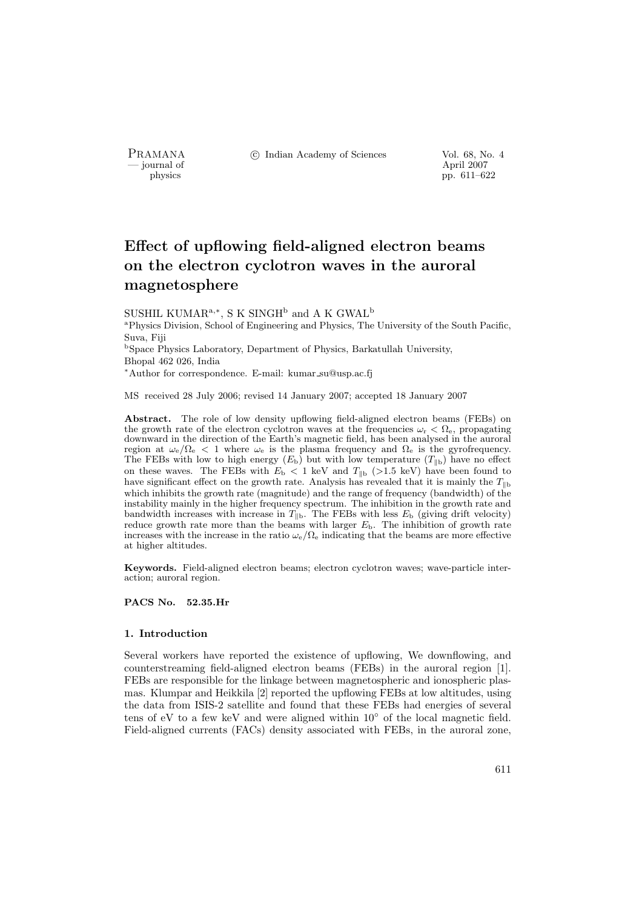- journal of<br>physics

PRAMANA <sup>©</sup>© Indian Academy of Sciences Vol. 68, No. 4<br>
— journal of April 2007

pp. 611–622

# Effect of upflowing field-aligned electron beams on the electron cyclotron waves in the auroral magnetosphere

SUSHIL KUMAR<sup>a,∗</sup>, S K SINGH<sup>b</sup> and A K GWAL<sup>b</sup>

<sup>a</sup>Physics Division, School of Engineering and Physics, The University of the South Pacific, Suva, Fiji

<sup>b</sup>Space Physics Laboratory, Department of Physics, Barkatullah University, Bhopal 462 026, India

<sup>∗</sup>Author for correspondence. E-mail: kumar su@usp.ac.fj

MS received 28 July 2006; revised 14 January 2007; accepted 18 January 2007

Abstract. The role of low density upflowing field-aligned electron beams (FEBs) on the growth rate of the electron cyclotron waves at the frequencies  $\omega_r < \Omega_e$ , propagating downward in the direction of the Earth's magnetic field, has been analysed in the auroral region at  $\omega_e/\Omega_e < 1$  where  $\omega_e$  is the plasma frequency and  $\Omega_e$  is the gyrofrequency. The FEBs with low to high energy  $(E_b)$  but with low temperature  $(T_{\parallel b})$  have no effect on these waves. The FEBs with  $E<sub>b</sub> < 1$  keV and  $T_{\parallel b}$  (>1.5 keV) have been found to have significant effect on the growth rate. Analysis has revealed that it is mainly the  $T_{\parallel b}$ which inhibits the growth rate (magnitude) and the range of frequency (bandwidth) of the instability mainly in the higher frequency spectrum. The inhibition in the growth rate and bandwidth increases with increase in  $T_{\parallel b}$ . The FEBs with less  $E_b$  (giving drift velocity) reduce growth rate more than the beams with larger  $E<sub>b</sub>$ . The inhibition of growth rate increases with the increase in the ratio  $\omega_e/\Omega_e$  indicating that the beams are more effective at higher altitudes.

Keywords. Field-aligned electron beams; electron cyclotron waves; wave-particle interaction; auroral region.

PACS No. 52.35.Hr

#### 1. Introduction

Several workers have reported the existence of upflowing, We downflowing, and counterstreaming field-aligned electron beams (FEBs) in the auroral region [1]. FEBs are responsible for the linkage between magnetospheric and ionospheric plasmas. Klumpar and Heikkila [2] reported the upflowing FEBs at low altitudes, using the data from ISIS-2 satellite and found that these FEBs had energies of several tens of eV to a few keV and were aligned within 10◦ of the local magnetic field. Field-aligned currents (FACs) density associated with FEBs, in the auroral zone,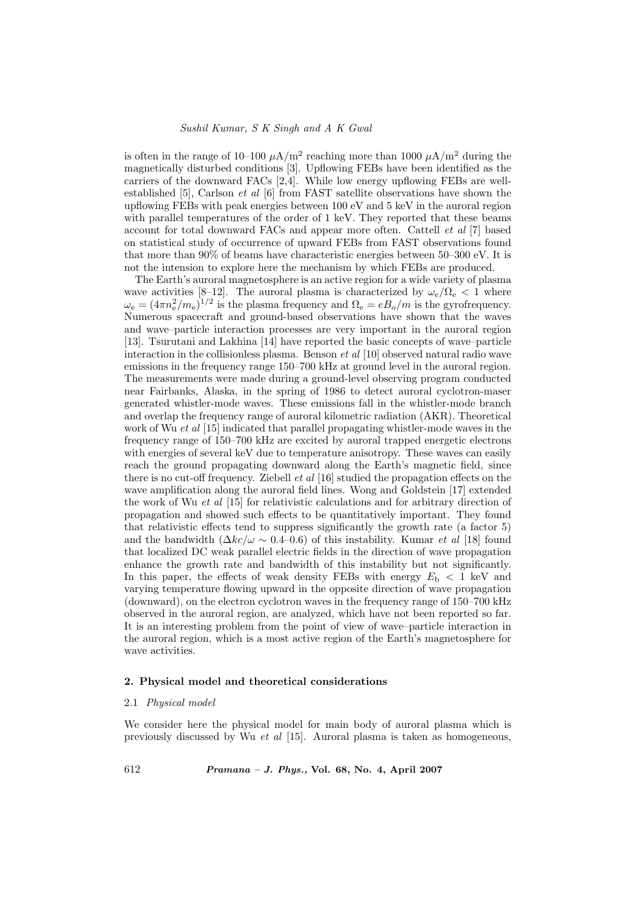is often in the range of 10–100  $\mu$ A/m<sup>2</sup> reaching more than 1000  $\mu$ A/m<sup>2</sup> during the magnetically disturbed conditions [3]. Upflowing FEBs have been identified as the carriers of the downward FACs  $[2,4]$ . While low energy upflowing FEBs are wellestablished [5], Carlson *et al*  $[6]$  from FAST satellite observations have shown the upflowing FEBs with peak energies between 100 eV and 5 keV in the auroral region with parallel temperatures of the order of 1 keV. They reported that these beams account for total downward FACs and appear more often. Cattell et al [7] based on statistical study of occurrence of upward FEBs from FAST observations found that more than 90% of beams have characteristic energies between 50–300 eV. It is not the intension to explore here the mechanism by which FEBs are produced.

The Earth's auroral magnetosphere is an active region for a wide variety of plasma wave activities [8–12]. The auroral plasma is characterized by  $\omega_e/\Omega_e < 1$  where  $\omega_e = (4\pi n_e^2/m_e)^{1/2}$  is the plasma frequency and  $\Omega_e = eB_o/m$  is the gyrofrequency. Numerous spacecraft and ground-based observations have shown that the waves and wave–particle interaction processes are very important in the auroral region [13]. Tsurutani and Lakhina [14] have reported the basic concepts of wave–particle interaction in the collisionless plasma. Benson *et al* [10] observed natural radio wave emissions in the frequency range 150–700 kHz at ground level in the auroral region. The measurements were made during a ground-level observing program conducted near Fairbanks, Alaska, in the spring of 1986 to detect auroral cyclotron-maser generated whistler-mode waves. These emissions fall in the whistler-mode branch and overlap the frequency range of auroral kilometric radiation (AKR). Theoretical work of Wu *et al* [15] indicated that parallel propagating whistler-mode waves in the frequency range of 150–700 kHz are excited by auroral trapped energetic electrons with energies of several keV due to temperature anisotropy. These waves can easily reach the ground propagating downward along the Earth's magnetic field, since there is no cut-off frequency. Ziebell et al [16] studied the propagation effects on the wave amplification along the auroral field lines. Wong and Goldstein [17] extended the work of Wu et al [15] for relativistic calculations and for arbitrary direction of propagation and showed such effects to be quantitatively important. They found that relativistic effects tend to suppress significantly the growth rate (a factor 5) and the bandwidth  $(\Delta k c/\omega \sim 0.4-0.6)$  of this instability. Kumar *et al* [18] found that localized DC weak parallel electric fields in the direction of wave propagation enhance the growth rate and bandwidth of this instability but not significantly. In this paper, the effects of weak density FEBs with energy  $E<sub>b</sub> < 1$  keV and varying temperature flowing upward in the opposite direction of wave propagation (downward), on the electron cyclotron waves in the frequency range of 150–700 kHz observed in the auroral region, are analyzed, which have not been reported so far. It is an interesting problem from the point of view of wave–particle interaction in the auroral region, which is a most active region of the Earth's magnetosphere for wave activities.

# 2. Physical model and theoretical considerations

# 2.1 Physical model

We consider here the physical model for main body of auroral plasma which is previously discussed by Wu et al [15]. Auroral plasma is taken as homogeneous,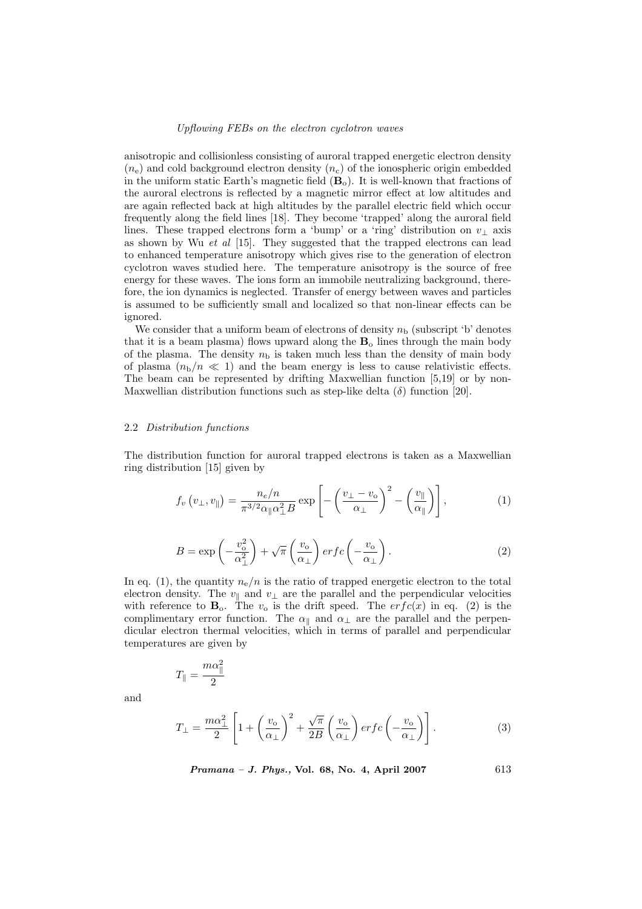anisotropic and collisionless consisting of auroral trapped energetic electron density  $(n_e)$  and cold background electron density  $(n_c)$  of the ionospheric origin embedded in the uniform static Earth's magnetic field  $(\mathbf{B}_{\alpha})$ . It is well-known that fractions of the auroral electrons is reflected by a magnetic mirror effect at low altitudes and are again reflected back at high altitudes by the parallel electric field which occur frequently along the field lines [18]. They become 'trapped' along the auroral field lines. These trapped electrons form a 'bump' or a 'ring' distribution on  $v_{\perp}$  axis as shown by Wu  $et \, al \, [15]$ . They suggested that the trapped electrons can lead to enhanced temperature anisotropy which gives rise to the generation of electron cyclotron waves studied here. The temperature anisotropy is the source of free energy for these waves. The ions form an immobile neutralizing background, therefore, the ion dynamics is neglected. Transfer of energy between waves and particles is assumed to be sufficiently small and localized so that non-linear effects can be ignored.

We consider that a uniform beam of electrons of density  $n<sub>b</sub>$  (subscript 'b' denotes that it is a beam plasma) flows upward along the  $B_0$  lines through the main body of the plasma. The density  $n<sub>b</sub>$  is taken much less than the density of main body of plasma  $(n_b/n \ll 1)$  and the beam energy is less to cause relativistic effects. The beam can be represented by drifting Maxwellian function [5,19] or by non-Maxwellian distribution functions such as step-like delta  $(\delta)$  function [20].

## 2.2 Distribution functions

The distribution function for auroral trapped electrons is taken as a Maxwellian ring distribution [15] given by

$$
f_v(v_\perp, v_\parallel) = \frac{n_e/n}{\pi^{3/2} \alpha_\parallel \alpha_\perp^2 B} \exp\left[ -\left(\frac{v_\perp - v_\text{o}}{\alpha_\perp}\right)^2 - \left(\frac{v_\parallel}{\alpha_\parallel}\right) \right],\tag{1}
$$

$$
B = \exp\left(-\frac{v_{\rm o}^2}{\alpha_{\perp}^2}\right) + \sqrt{\pi} \left(\frac{v_{\rm o}}{\alpha_{\perp}}\right) erfc\left(-\frac{v_{\rm o}}{\alpha_{\perp}}\right). \tag{2}
$$

In eq. (1), the quantity  $n_e/n$  is the ratio of trapped energetic electron to the total electron density. The  $v_{\parallel}$  and  $v_{\perp}$  are the parallel and the perpendicular velocities with reference to  $\mathbf{B}_{o}$ . The  $v_{o}$  is the drift speed. The  $erfc(x)$  in eq. (2) is the complimentary error function. The  $\alpha_{\parallel}$  and  $\alpha_{\perp}$  are the parallel and the perpendicular electron thermal velocities, which in terms of parallel and perpendicular temperatures are given by

$$
T_{\parallel} = \frac{m\alpha_{\parallel}^2}{2}
$$

and

$$
T_{\perp} = \frac{m\alpha_{\perp}^{2}}{2} \left[ 1 + \left(\frac{v_{o}}{\alpha_{\perp}}\right)^{2} + \frac{\sqrt{\pi}}{2B} \left(\frac{v_{o}}{\alpha_{\perp}}\right) erf c\left(-\frac{v_{o}}{\alpha_{\perp}}\right) \right].
$$
 (3)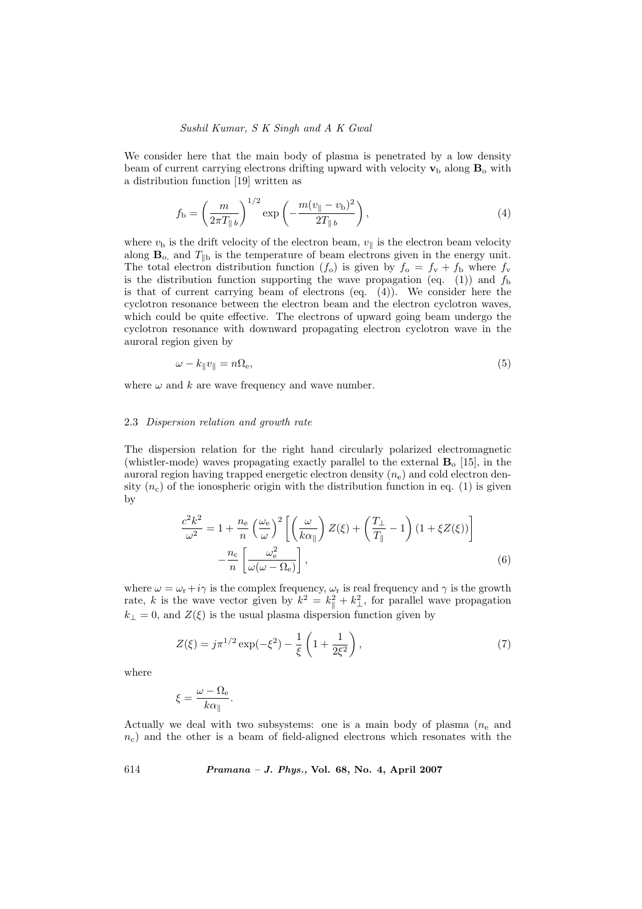We consider here that the main body of plasma is penetrated by a low density beam of current carrying electrons drifting upward with velocity  $\mathbf{v}_b$  along  $\mathbf{B}_o$  with a distribution function [19] written as

$$
f_{\rm b} = \left(\frac{m}{2\pi T_{\parallel b}}\right)^{1/2} \exp\left(-\frac{m(v_{\parallel} - v_{\rm b})^2}{2T_{\parallel b}}\right),\tag{4}
$$

where  $v<sub>b</sub>$  is the drift velocity of the electron beam,  $v_{\parallel}$  is the electron beam velocity along  $\mathbf{B}_{\text{o}}$ , and  $T_{\parallel \text{b}}$  is the temperature of beam electrons given in the energy unit. The total electron distribution function  $(f_o)$  is given by  $f_o = f_v + f_b$  where  $f_v$ is the distribution function supporting the wave propagation (eq. (1)) and  $f<sub>b</sub>$ is that of current carrying beam of electrons (eq. (4)). We consider here the cyclotron resonance between the electron beam and the electron cyclotron waves, which could be quite effective. The electrons of upward going beam undergo the cyclotron resonance with downward propagating electron cyclotron wave in the auroral region given by

$$
\omega - k_{\parallel} v_{\parallel} = n \Omega_{\rm e},\tag{5}
$$

where  $\omega$  and k are wave frequency and wave number.

## 2.3 Dispersion relation and growth rate

The dispersion relation for the right hand circularly polarized electromagnetic (whistler-mode) waves propagating exactly parallel to the external  $B<sub>o</sub>$  [15], in the auroral region having trapped energetic electron density  $(n_e)$  and cold electron density  $(n_c)$  of the ionospheric origin with the distribution function in eq. (1) is given by

$$
\frac{c^2 k^2}{\omega^2} = 1 + \frac{n_e}{n} \left(\frac{\omega_e}{\omega}\right)^2 \left[ \left(\frac{\omega}{k\alpha_{\parallel}}\right) Z(\xi) + \left(\frac{T_{\perp}}{T_{\parallel}} - 1\right) \left(1 + \xi Z(\xi)\right) \right] - \frac{n_c}{n} \left[ \frac{\omega_e^2}{\omega(\omega - \Omega_e)} \right],
$$
\n(6)

where  $\omega = \omega_{\rm r} + i\gamma$  is the complex frequency,  $\omega_{\rm r}$  is real frequency and  $\gamma$  is the growth rate, k is the wave vector given by  $k^2 = k_{\parallel}^2 + k_{\perp}^2$ , for parallel wave propagation  $k_{\perp} = 0$ , and  $Z(\xi)$  is the usual plasma dispersion function given by

$$
Z(\xi) = j\pi^{1/2} \exp(-\xi^2) - \frac{1}{\xi} \left( 1 + \frac{1}{2\xi^2} \right),\tag{7}
$$

where

$$
\xi = \frac{\omega - \Omega_{\rm e}}{k\alpha_{\parallel}}.
$$

Actually we deal with two subsystems: one is a main body of plasma  $(n_e$  and  $n_c$ ) and the other is a beam of field-aligned electrons which resonates with the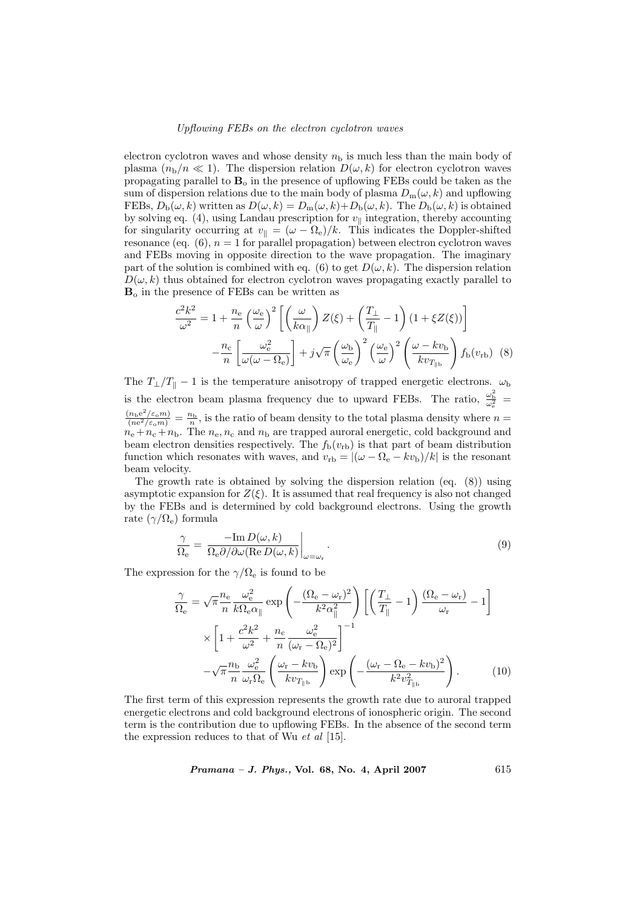electron cyclotron waves and whose density  $n<sub>b</sub>$  is much less than the main body of plasma  $(n_b/n \ll 1)$ . The dispersion relation  $D(\omega, k)$  for electron cyclotron waves propagating parallel to  $B_0$  in the presence of upflowing FEBs could be taken as the sum of dispersion relations due to the main body of plasma  $D_m(\omega, k)$  and upflowing FEBs,  $D_b(\omega, k)$  written as  $D(\omega, k) = D_m(\omega, k) + D_b(\omega, k)$ . The  $D_b(\omega, k)$  is obtained by solving eq. (4), using Landau prescription for  $v_{\parallel}$  integration, thereby accounting for singularity occurring at  $v_{\parallel} = (\omega - \Omega_e)/k$ . This indicates the Doppler-shifted resonance (eq.  $(6)$ ,  $n = 1$  for parallel propagation) between electron cyclotron waves and FEBs moving in opposite direction to the wave propagation. The imaginary part of the solution is combined with eq. (6) to get  $D(\omega, k)$ . The dispersion relation  $D(\omega, k)$  thus obtained for electron cyclotron waves propagating exactly parallel to  $B<sub>o</sub>$  in the presence of FEBs can be written as

$$
\frac{c^2 k^2}{\omega^2} = 1 + \frac{n_e}{n} \left(\frac{\omega_e}{\omega}\right)^2 \left[ \left(\frac{\omega}{k\alpha_{\parallel}}\right) Z(\xi) + \left(\frac{T_{\perp}}{T_{\parallel}} - 1\right) \left(1 + \xi Z(\xi)\right) \right]
$$

$$
- \frac{n_c}{n} \left[ \frac{\omega_e^2}{\omega(\omega - \Omega_e)} \right] + j\sqrt{\pi} \left(\frac{\omega_b}{\omega_e}\right)^2 \left(\frac{\omega_e}{\omega}\right)^2 \left(\frac{\omega - kv_b}{kv_{T_{\parallel b}}}\right) f_b(v_{rb}) \tag{8}
$$

The  $T_{\perp}/T_{\parallel} - 1$  is the temperature anisotropy of trapped energetic electrons.  $\omega_{\rm b}$ is the electron beam plasma frequency due to upward FEBs. The ratio,  $\frac{\omega_{\rm b}^2}{\omega_{\rm e}^2}$  =  $\frac{(n_{\rm b}e^2/\varepsilon_{\rm o}m)}{(ne^2/\varepsilon_{\rm o}m)}=\frac{n_{\rm b}}{n}$ , is the ratio of beam density to the total plasma density where  $n=$  $n_e + n_c + n_b$ . The  $n_e, n_c$  and  $n_b$  are trapped auroral energetic, cold background and beam electron densities respectively. The  $f_b(v_{rb})$  is that part of beam distribution function which resonates with waves, and  $v_{\rm rb} = |(\omega - \Omega_{\rm e} - kv_{\rm b})/k|$  is the resonant beam velocity.

The growth rate is obtained by solving the dispersion relation (eq. (8)) using asymptotic expansion for  $Z(\xi)$ . It is assumed that real frequency is also not changed by the FEBs and is determined by cold background electrons. Using the growth rate  $(\gamma/\Omega_e)$  formula

$$
\frac{\gamma}{\Omega_{\rm e}} = \left. \frac{-\text{Im}\, D(\omega, k)}{\Omega_{\rm e} \partial / \partial \omega (\text{Re}\, D(\omega, k))} \right|_{\omega = \omega_{\rm r}}.
$$
\n(9)

The expression for the  $\gamma/\Omega_e$  is found to be

$$
\frac{\gamma}{\Omega_{\rm e}} = \sqrt{\pi} \frac{n_{\rm e}}{n} \frac{\omega_{\rm e}^2}{k \Omega_{\rm e} \alpha_{\parallel}} \exp\left(-\frac{(\Omega_{\rm e} - \omega_{\rm r})^2}{k^2 \alpha_{\parallel}^2}\right) \left[ \left(\frac{T_{\perp}}{T_{\parallel}} - 1\right) \frac{(\Omega_{\rm e} - \omega_{\rm r})}{\omega_{\rm r}} - 1 \right]
$$

$$
\times \left[1 + \frac{c^2 k^2}{\omega^2} + \frac{n_{\rm c}}{n} \frac{\omega_{\rm e}^2}{(\omega_{\rm r} - \Omega_{\rm e})^2}\right]^{-1}
$$

$$
-\sqrt{\pi} \frac{n_{\rm b}}{n} \frac{\omega_{\rm e}^2}{\omega_{\rm r} \Omega_{\rm e}} \left(\frac{\omega_{\rm r} - kv_{\rm b}}{kv_{T_{\parallel \rm b}}}\right) \exp\left(-\frac{(\omega_{\rm r} - \Omega_{\rm e} - kv_{\rm b})^2}{k^2 v_{T_{\parallel \rm b}}^2}\right). \tag{10}
$$

The first term of this expression represents the growth rate due to auroral trapped energetic electrons and cold background electrons of ionospheric origin. The second term is the contribution due to upflowing FEBs. In the absence of the second term the expression reduces to that of Wu  $et \ al$  [15].

Pramana – J. Phys., Vol. 68, No. 4, April 2007 615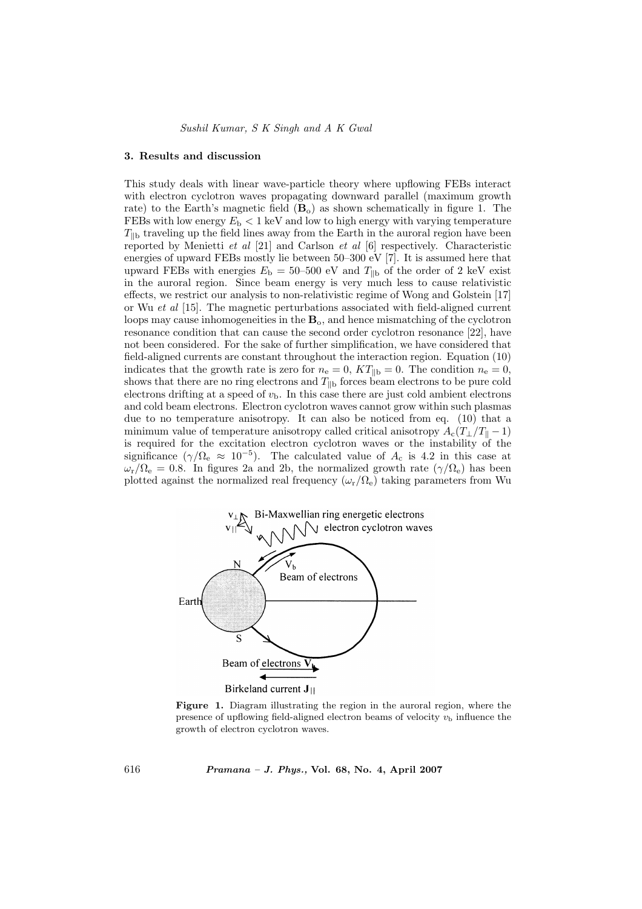#### 3. Results and discussion

This study deals with linear wave-particle theory where upflowing FEBs interact with electron cyclotron waves propagating downward parallel (maximum growth rate) to the Earth's magnetic field  $(B_0)$  as shown schematically in figure 1. The FEBs with low energy  $E<sub>b</sub> < 1$  keV and low to high energy with varying temperature  $T_{\text{lib}}$  traveling up the field lines away from the Earth in the auroral region have been reported by Menietti et al [21] and Carlson et al [6] respectively. Characteristic energies of upward FEBs mostly lie between 50–300 eV [7]. It is assumed here that upward FEBs with energies  $E<sub>b</sub> = 50-500$  eV and  $T<sub>||b</sub>$  of the order of 2 keV exist in the auroral region. Since beam energy is very much less to cause relativistic effects, we restrict our analysis to non-relativistic regime of Wong and Golstein [17] or Wu et al [15]. The magnetic perturbations associated with field-aligned current loops may cause inhomogeneities in the  $B<sub>o</sub>$ , and hence mismatching of the cyclotron resonance condition that can cause the second order cyclotron resonance [22], have not been considered. For the sake of further simplification, we have considered that field-aligned currents are constant throughout the interaction region. Equation (10) indicates that the growth rate is zero for  $n_e = 0$ ,  $KT_{\parallel b} = 0$ . The condition  $n_e = 0$ , shows that there are no ring electrons and  $T_{\parallel b}$  forces beam electrons to be pure cold electrons drifting at a speed of  $v<sub>b</sub>$ . In this case there are just cold ambient electrons and cold beam electrons. Electron cyclotron waves cannot grow within such plasmas due to no temperature anisotropy. It can also be noticed from eq. (10) that a minimum value of temperature anisotropy called critical anisotropy  $A_c(T_1/T_0 - 1)$ is required for the excitation electron cyclotron waves or the instability of the significance  $(\gamma/\Omega_e \approx 10^{-5})$ . The calculated value of  $A_c$  is 4.2 in this case at  $\omega_r/\Omega_e = 0.8$ . In figures 2a and 2b, the normalized growth rate  $(\gamma/\Omega_e)$  has been plotted against the normalized real frequency  $(\omega_r/\Omega_e)$  taking parameters from Wu



Figure 1. Diagram illustrating the region in the auroral region, where the presence of upflowing field-aligned electron beams of velocity  $v<sub>b</sub>$  influence the growth of electron cyclotron waves.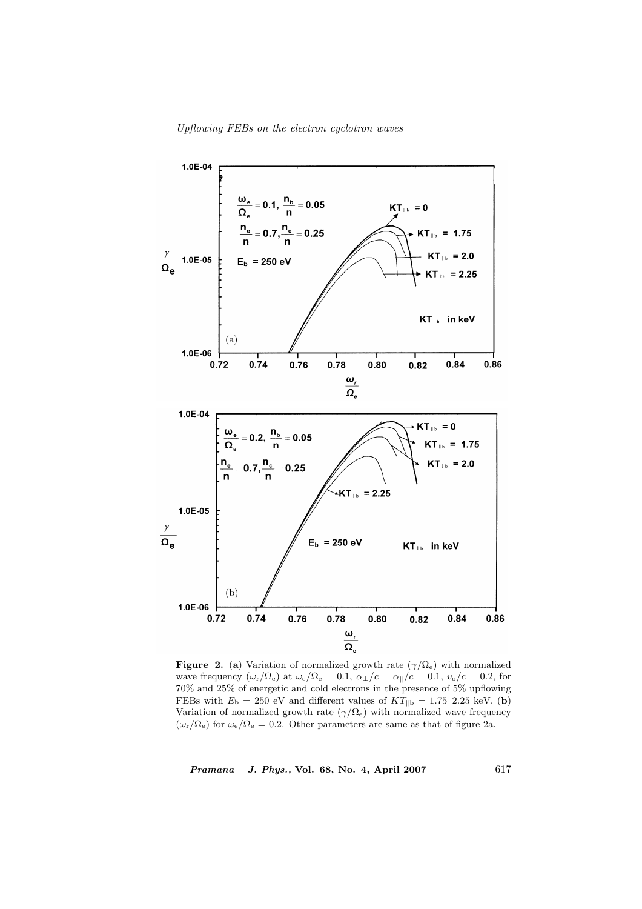

Figure 2. (a) Variation of normalized growth rate  $(\gamma/\Omega_e)$  with normalized wave frequency  $(\omega_{\rm r}/\Omega_{\rm e})$  at  $\omega_{\rm e}/\Omega_{\rm e} = 0.1, \alpha_{\perp}/c = \alpha_{\parallel}/c = 0.1, v_{\rm o}/c = 0.2$ , for 70% and 25% of energetic and cold electrons in the presence of 5% upflowing FEBs with  $E_{\rm b} = 250$  eV and different values of  $KT_{\parallel {\rm b}} = 1.75$ –2.25 keV. (b) Variation of normalized growth rate  $(\gamma/\Omega_e)$  with normalized wave frequency  $(\omega_{\rm r}/\Omega_{\rm e})$  for  $\omega_{\rm e}/\Omega_{\rm e} = 0.2$ . Other parameters are same as that of figure 2a.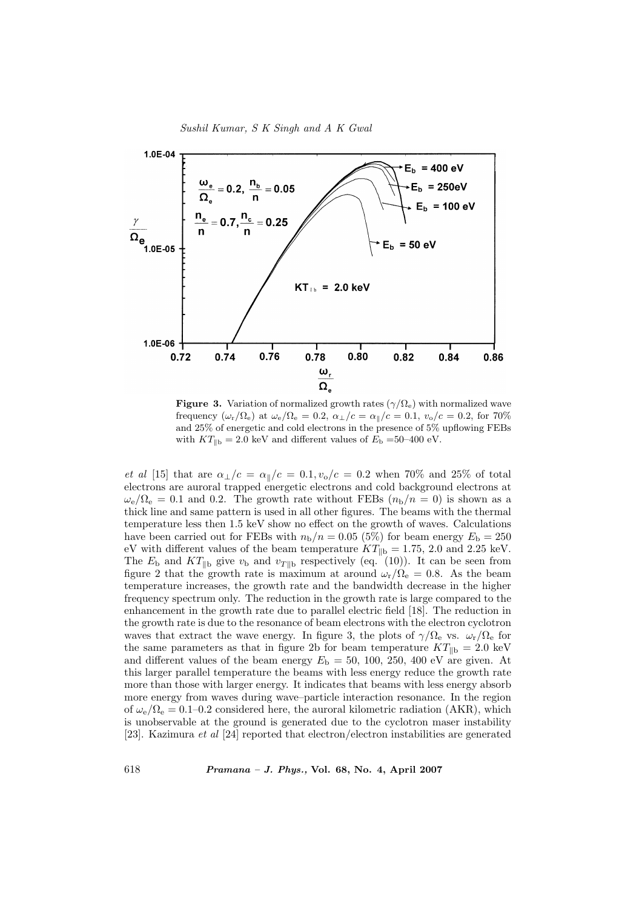



**Figure 3.** Variation of normalized growth rates  $(\gamma/\Omega_e)$  with normalized wave frequency  $(\omega_{\rm r}/\Omega_{\rm e})$  at  $\omega_{\rm e}/\Omega_{\rm e} = 0.2$ ,  $\alpha_{\perp}/c = \alpha_{\parallel}/c = 0.1$ ,  $v_{\rm o}/c = 0.2$ , for 70% and 25% of energetic and cold electrons in the presence of 5% upflowing FEBs with  $KT_{\rm lb} = 2.0$  keV and different values of  $E_{\rm b} = 50$ –400 eV.

et al [15] that are  $\alpha_{\perp}/c = \alpha_{\parallel}/c = 0.1, v_{\rm o}/c = 0.2$  when 70% and 25% of total electrons are auroral trapped energetic electrons and cold background electrons at  $\omega_e/\Omega_e = 0.1$  and 0.2. The growth rate without FEBs  $(n_b/n = 0)$  is shown as a thick line and same pattern is used in all other figures. The beams with the thermal temperature less then 1.5 keV show no effect on the growth of waves. Calculations have been carried out for FEBs with  $n_{\rm b}/n = 0.05$  (5%) for beam energy  $E_{\rm b} = 250$ eV with different values of the beam temperature  $KT_{\parallel b} = 1.75$ , 2.0 and 2.25 keV. The  $E_{\rm b}$  and  $KT_{\parallel b}$  give  $v_{\rm b}$  and  $v_{T\parallel b}$  respectively (eq. (10)). It can be seen from figure 2 that the growth rate is maximum at around  $\omega_r/\Omega_e = 0.8$ . As the beam temperature increases, the growth rate and the bandwidth decrease in the higher frequency spectrum only. The reduction in the growth rate is large compared to the enhancement in the growth rate due to parallel electric field [18]. The reduction in the growth rate is due to the resonance of beam electrons with the electron cyclotron waves that extract the wave energy. In figure 3, the plots of  $\gamma/\Omega_e$  vs.  $\omega_r/\Omega_e$  for the same parameters as that in figure 2b for beam temperature  $KT_{\parallel b} = 2.0 \text{ keV}$ and different values of the beam energy  $E<sub>b</sub> = 50, 100, 250, 400$  eV are given. At this larger parallel temperature the beams with less energy reduce the growth rate more than those with larger energy. It indicates that beams with less energy absorb more energy from waves during wave–particle interaction resonance. In the region of  $\omega_e/\Omega_e = 0.1$ –0.2 considered here, the auroral kilometric radiation (AKR), which is unobservable at the ground is generated due to the cyclotron maser instability [23]. Kazimura et al [24] reported that electron/electron instabilities are generated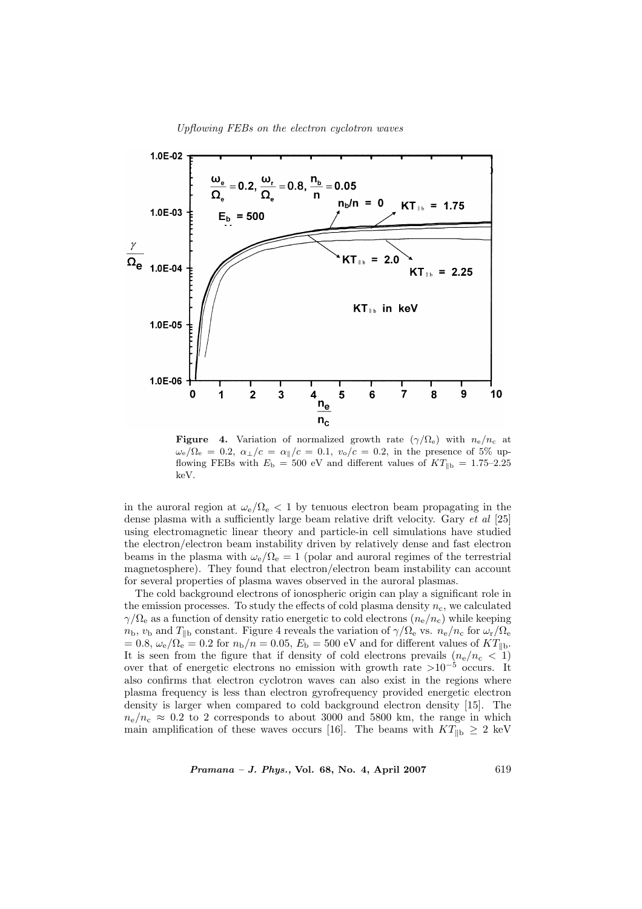

**Figure 4.** Variation of normalized growth rate  $(\gamma/\Omega_e)$  with  $n_e/n_c$  at  $\omega_e/\Omega_e = 0.2$ ,  $\alpha_{\perp}/c = \alpha_{\parallel}/c = 0.1$ ,  $v_o/c = 0.2$ , in the presence of 5% upflowing FEBs with  $E<sub>b</sub> = 500$  eV and different values of  $KT_{\parallel b} = 1.75-2.25$ keV.

in the auroral region at  $\omega_e/\Omega_e < 1$  by tenuous electron beam propagating in the dense plasma with a sufficiently large beam relative drift velocity. Gary et al [25] using electromagnetic linear theory and particle-in cell simulations have studied the electron/electron beam instability driven by relatively dense and fast electron beams in the plasma with  $\omega_e/\Omega_e = 1$  (polar and auroral regimes of the terrestrial magnetosphere). They found that electron/electron beam instability can account for several properties of plasma waves observed in the auroral plasmas.

The cold background electrons of ionospheric origin can play a significant role in the emission processes. To study the effects of cold plasma density  $n_c$ , we calculated  $\gamma/\Omega_e$  as a function of density ratio energetic to cold electrons  $(n_e/n_c)$  while keeping  $n_b$ ,  $v_b$  and  $T_{\parallel b}$  constant. Figure 4 reveals the variation of  $\gamma/\Omega_e$  vs.  $n_e/n_c$  for  $\omega_r/\Omega_e$  $= 0.8, \omega_e/\Omega_e = 0.2$  for  $n_{\rm b}/n = 0.05, E_{\rm b} = 500$  eV and for different values of  $KT_{\rm lb}$ . It is seen from the figure that if density of cold electrons prevails  $(n_e/n_c \langle \mathbf{r}_1 \rangle)$ over that of energetic electrons no emission with growth rate  $>10^{-5}$  occurs. It also confirms that electron cyclotron waves can also exist in the regions where plasma frequency is less than electron gyrofrequency provided energetic electron density is larger when compared to cold background electron density [15]. The  $n_e/n_c \approx 0.2$  to 2 corresponds to about 3000 and 5800 km, the range in which main amplification of these waves occurs [16]. The beams with  $KT_{\parallel b} \geq 2$  keV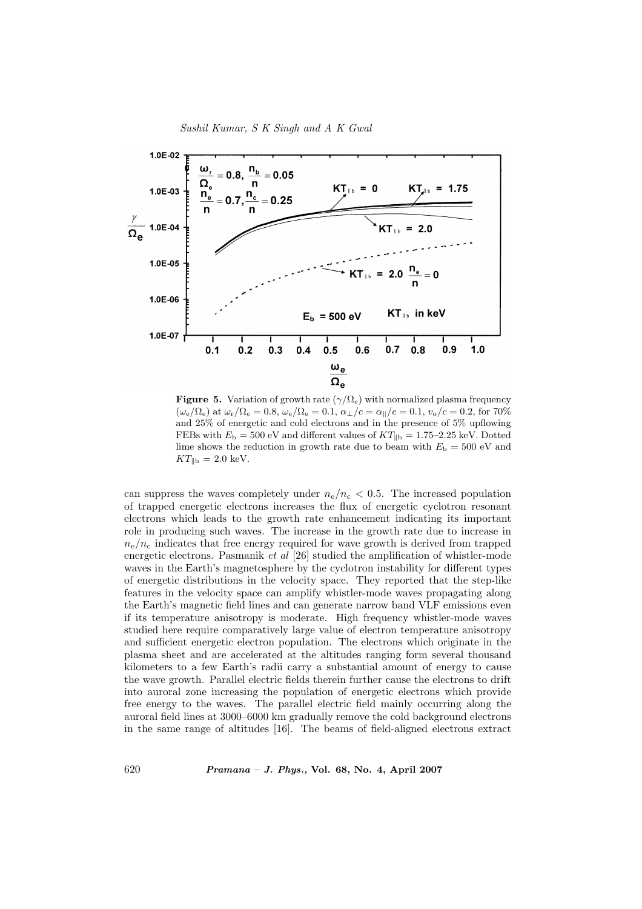



**Figure 5.** Variation of growth rate ( $\gamma/\Omega_e$ ) with normalized plasma frequency  $(\omega_{\rm e}/\Omega_{\rm e})$  at  $\omega_{\rm r}/\Omega_{\rm e} = 0.8$ ,  $\omega_{\rm e}/\Omega_{\rm e} = 0.1$ ,  $\alpha_{\perp}/c = \alpha_{\parallel}/c = 0.1$ ,  $v_{\rm o}/c = 0.2$ , for 70% and 25% of energetic and cold electrons and in the presence of 5% upflowing FEBs with  $E<sub>b</sub> = 500$  eV and different values of  $KT<sub>lb</sub> = 1.75-2.25$  keV. Dotted lime shows the reduction in growth rate due to beam with  $E<sub>b</sub> = 500$  eV and  $KT_{\parallel b} = 2.0 \text{ keV}.$ 

can suppress the waves completely under  $n_e/n_c < 0.5$ . The increased population of trapped energetic electrons increases the flux of energetic cyclotron resonant electrons which leads to the growth rate enhancement indicating its important role in producing such waves. The increase in the growth rate due to increase in  $n_e/n_c$  indicates that free energy required for wave growth is derived from trapped energetic electrons. Pasmanik et al [26] studied the amplification of whistler-mode waves in the Earth's magnetosphere by the cyclotron instability for different types of energetic distributions in the velocity space. They reported that the step-like features in the velocity space can amplify whistler-mode waves propagating along the Earth's magnetic field lines and can generate narrow band VLF emissions even if its temperature anisotropy is moderate. High frequency whistler-mode waves studied here require comparatively large value of electron temperature anisotropy and sufficient energetic electron population. The electrons which originate in the plasma sheet and are accelerated at the altitudes ranging form several thousand kilometers to a few Earth's radii carry a substantial amount of energy to cause the wave growth. Parallel electric fields therein further cause the electrons to drift into auroral zone increasing the population of energetic electrons which provide free energy to the waves. The parallel electric field mainly occurring along the auroral field lines at 3000–6000 km gradually remove the cold background electrons in the same range of altitudes [16]. The beams of field-aligned electrons extract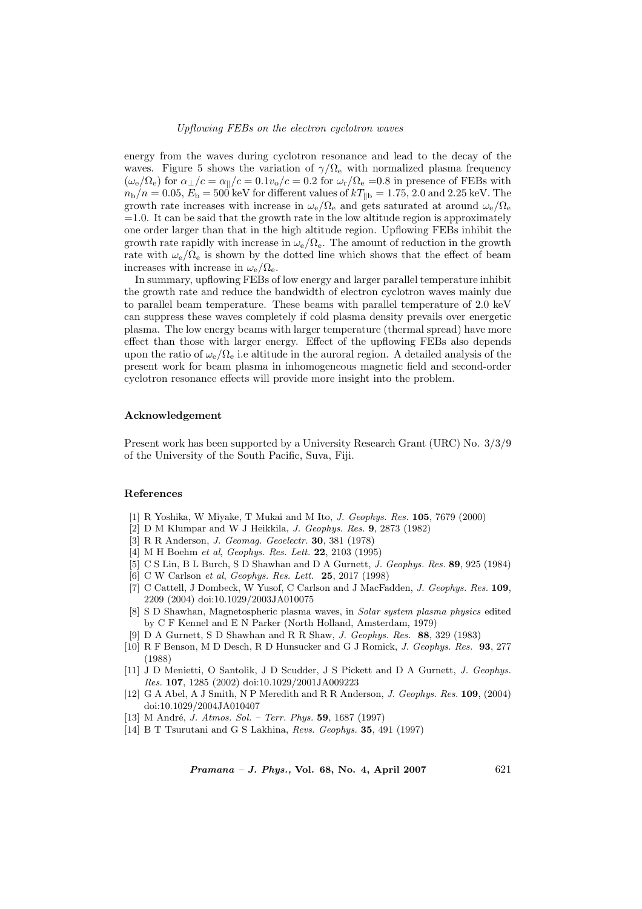energy from the waves during cyclotron resonance and lead to the decay of the waves. Figure 5 shows the variation of  $\gamma/\Omega_{\rm e}$  with normalized plasma frequency  $(\omega_e/\Omega_e)$  for  $\alpha_{\perp}/c = \alpha_{\parallel}/c = 0.1v_o/c = 0.2$  for  $\omega_{\rm r}/\Omega_e = 0.8$  in presence of FEBs with  $n_{\rm b}/n = 0.05, E_{\rm b} = 500$  keV for different values of  $kT_{\rm lb} = 1.75, 2.0$  and 2.25 keV. The growth rate increases with increase in  $\omega_e/\Omega_e$  and gets saturated at around  $\omega_e/\Omega_e$  $=1.0$ . It can be said that the growth rate in the low altitude region is approximately one order larger than that in the high altitude region. Upflowing FEBs inhibit the growth rate rapidly with increase in  $\omega_e/\Omega_e$ . The amount of reduction in the growth rate with  $\omega_e/\Omega_e$  is shown by the dotted line which shows that the effect of beam increases with increase in  $\omega_{\rm e}/\Omega_{\rm e}$ .

In summary, upflowing FEBs of low energy and larger parallel temperature inhibit the growth rate and reduce the bandwidth of electron cyclotron waves mainly due to parallel beam temperature. These beams with parallel temperature of 2.0 keV can suppress these waves completely if cold plasma density prevails over energetic plasma. The low energy beams with larger temperature (thermal spread) have more effect than those with larger energy. Effect of the upflowing FEBs also depends upon the ratio of  $\omega_e/\Omega_e$  i.e altitude in the auroral region. A detailed analysis of the present work for beam plasma in inhomogeneous magnetic field and second-order cyclotron resonance effects will provide more insight into the problem.

## Acknowledgement

Present work has been supported by a University Research Grant (URC) No. 3/3/9 of the University of the South Pacific, Suva, Fiji.

#### References

- [1] R Yoshika, W Miyake, T Mukai and M Ito, J. Geophys. Res. 105, 7679 (2000)
- [2] D M Klumpar and W J Heikkila, J. Geophys. Res. 9, 2873 (1982)
- [3] R R Anderson, J. Geomag. Geoelectr. 30, 381 (1978)
- [4] M H Boehm et al, Geophys. Res. Lett. 22, 2103 (1995)
- [5] C S Lin, B L Burch, S D Shawhan and D A Gurnett, J. Geophys. Res. 89, 925 (1984)
- [6] C W Carlson *et al. Geophys. Res. Lett.* **25**, 2017 (1998)
- [7] C Cattell, J Dombeck, W Yusof, C Carlson and J MacFadden, *J. Geophys. Res.* 109, 2209 (2004) doi:10.1029/2003JA010075
- [8] S D Shawhan, Magnetospheric plasma waves, in Solar system plasma physics edited by C F Kennel and E N Parker (North Holland, Amsterdam, 1979)
- [9] D A Gurnett, S D Shawhan and R R Shaw, J. Geophys. Res. 88, 329 (1983)
- [10] R F Benson, M D Desch, R D Hunsucker and G J Romick, J. Geophys. Res. 93, 277 (1988)
- [11] J D Menietti, O Santolik, J D Scudder, J S Pickett and D A Gurnett, J. Geophys. Res. 107, 1285 (2002) doi:10.1029/2001JA009223
- [12] G A Abel, A J Smith, N P Meredith and R R Anderson, J. Geophys. Res. 109, (2004) doi:10.1029/2004JA010407
- [13] M André, *J. Atmos. Sol. Terr. Phys.* **59**, 1687 (1997)
- [14] B T Tsurutani and G S Lakhina, Revs. Geophys. 35, 491 (1997)